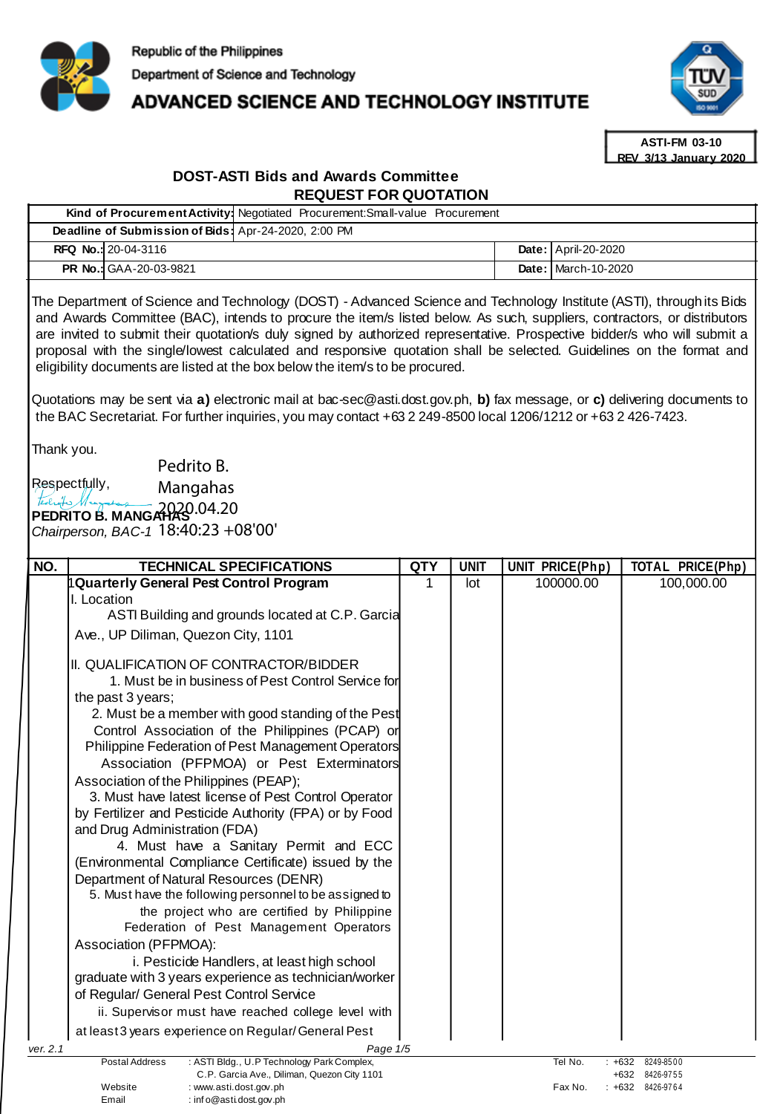

# ADVANCED SCIENCE AND TECHNOLOGY INSTITUTE



**ASTI-FM 03-10 REV 3/13 January 2020**

# **DOST-ASTI Bids and Awards Committee REQUEST FOR QUOTATION**

**Kind of Procurement Activity:** Negotiated Procurement:Small-value Procurement

| Deadline of Submission of Bids: Apr-24-2020, 2:00 PM |                                                                                                                                                                                                                                                                                                                                                                                                                                                                                                                                                                                                                                                                                                                 |            |             |  |                     |                         |  |
|------------------------------------------------------|-----------------------------------------------------------------------------------------------------------------------------------------------------------------------------------------------------------------------------------------------------------------------------------------------------------------------------------------------------------------------------------------------------------------------------------------------------------------------------------------------------------------------------------------------------------------------------------------------------------------------------------------------------------------------------------------------------------------|------------|-------------|--|---------------------|-------------------------|--|
|                                                      | RFQ No.: 20-04-3116                                                                                                                                                                                                                                                                                                                                                                                                                                                                                                                                                                                                                                                                                             |            |             |  | Date: April-20-2020 |                         |  |
|                                                      | PR No.: GAA-20-03-9821                                                                                                                                                                                                                                                                                                                                                                                                                                                                                                                                                                                                                                                                                          |            |             |  | Date: March-10-2020 |                         |  |
|                                                      | The Department of Science and Technology (DOST) - Advanced Science and Technology Institute (ASTI), through its Bids<br>and Awards Committee (BAC), intends to procure the item/s listed below. As such, suppliers, contractors, or distributors<br>are invited to submit their quotation/s duly signed by authorized representative. Prospective bidder/s who will submit a<br>proposal with the single/lowest calculated and responsive quotation shall be selected. Guidelines on the format and<br>eligibility documents are listed at the box below the item/s to be procured.<br>Quotations may be sent via a) electronic mail at bac-sec@asti.dost.gov.ph, b) fax message, or c) delivering documents to |            |             |  |                     |                         |  |
| Thank you.                                           | the BAC Secretariat. For further inquiries, you may contact +63 2 249-8500 local 1206/1212 or +63 2 426-7423.                                                                                                                                                                                                                                                                                                                                                                                                                                                                                                                                                                                                   |            |             |  |                     |                         |  |
|                                                      | Pedrito B.                                                                                                                                                                                                                                                                                                                                                                                                                                                                                                                                                                                                                                                                                                      |            |             |  |                     |                         |  |
| tedroites 11                                         | Respectfully,<br>Mangahas                                                                                                                                                                                                                                                                                                                                                                                                                                                                                                                                                                                                                                                                                       |            |             |  |                     |                         |  |
|                                                      | PEDRITO B. MANGAHAS 04.20<br>Chairperson, BAC-1 18:40:23 +08'00'                                                                                                                                                                                                                                                                                                                                                                                                                                                                                                                                                                                                                                                |            |             |  |                     |                         |  |
| NO.                                                  | <b>TECHNICAL SPECIFICATIONS</b>                                                                                                                                                                                                                                                                                                                                                                                                                                                                                                                                                                                                                                                                                 | <b>QTY</b> | <b>UNIT</b> |  | UNIT PRICE(Php)     | <b>TOTAL PRICE(Php)</b> |  |
|                                                      | <b>Quarterly General Pest Control Program</b><br>I. Location                                                                                                                                                                                                                                                                                                                                                                                                                                                                                                                                                                                                                                                    | 1          | lot         |  | 100000.00           | 100,000.00              |  |
|                                                      | ASTI Building and grounds located at C.P. Garcia                                                                                                                                                                                                                                                                                                                                                                                                                                                                                                                                                                                                                                                                |            |             |  |                     |                         |  |
|                                                      | Ave., UP Diliman, Quezon City, 1101                                                                                                                                                                                                                                                                                                                                                                                                                                                                                                                                                                                                                                                                             |            |             |  |                     |                         |  |
|                                                      | II. QUALIFICATION OF CONTRACTOR/BIDDER                                                                                                                                                                                                                                                                                                                                                                                                                                                                                                                                                                                                                                                                          |            |             |  |                     |                         |  |
|                                                      | 1. Must be in business of Pest Control Service for                                                                                                                                                                                                                                                                                                                                                                                                                                                                                                                                                                                                                                                              |            |             |  |                     |                         |  |
|                                                      | the past 3 years;                                                                                                                                                                                                                                                                                                                                                                                                                                                                                                                                                                                                                                                                                               |            |             |  |                     |                         |  |
|                                                      | 2. Must be a member with good standing of the Pest                                                                                                                                                                                                                                                                                                                                                                                                                                                                                                                                                                                                                                                              |            |             |  |                     |                         |  |
|                                                      | Control Association of the Philippines (PCAP) or<br>Philippine Federation of Pest Management Operators                                                                                                                                                                                                                                                                                                                                                                                                                                                                                                                                                                                                          |            |             |  |                     |                         |  |
|                                                      | Association (PFPMOA) or Pest Exterminators                                                                                                                                                                                                                                                                                                                                                                                                                                                                                                                                                                                                                                                                      |            |             |  |                     |                         |  |
|                                                      | Association of the Philippines (PEAP);                                                                                                                                                                                                                                                                                                                                                                                                                                                                                                                                                                                                                                                                          |            |             |  |                     |                         |  |
|                                                      | 3. Must have latest license of Pest Control Operator                                                                                                                                                                                                                                                                                                                                                                                                                                                                                                                                                                                                                                                            |            |             |  |                     |                         |  |
|                                                      | by Fertilizer and Pesticide Authority (FPA) or by Food                                                                                                                                                                                                                                                                                                                                                                                                                                                                                                                                                                                                                                                          |            |             |  |                     |                         |  |
|                                                      | and Drug Administration (FDA)<br>4. Must have a Sanitary Permit and ECC                                                                                                                                                                                                                                                                                                                                                                                                                                                                                                                                                                                                                                         |            |             |  |                     |                         |  |
|                                                      | (Environmental Compliance Certificate) issued by the                                                                                                                                                                                                                                                                                                                                                                                                                                                                                                                                                                                                                                                            |            |             |  |                     |                         |  |
|                                                      | Department of Natural Resources (DENR)                                                                                                                                                                                                                                                                                                                                                                                                                                                                                                                                                                                                                                                                          |            |             |  |                     |                         |  |
|                                                      | 5. Must have the following personnel to be assigned to                                                                                                                                                                                                                                                                                                                                                                                                                                                                                                                                                                                                                                                          |            |             |  |                     |                         |  |
|                                                      | the project who are certified by Philippine<br>Federation of Pest Management Operators                                                                                                                                                                                                                                                                                                                                                                                                                                                                                                                                                                                                                          |            |             |  |                     |                         |  |
|                                                      | Association (PFPMOA):                                                                                                                                                                                                                                                                                                                                                                                                                                                                                                                                                                                                                                                                                           |            |             |  |                     |                         |  |
|                                                      | i. Pesticide Handlers, at least high school                                                                                                                                                                                                                                                                                                                                                                                                                                                                                                                                                                                                                                                                     |            |             |  |                     |                         |  |
|                                                      | graduate with 3 years experience as technician/worker                                                                                                                                                                                                                                                                                                                                                                                                                                                                                                                                                                                                                                                           |            |             |  |                     |                         |  |
|                                                      | of Regular/ General Pest Control Service                                                                                                                                                                                                                                                                                                                                                                                                                                                                                                                                                                                                                                                                        |            |             |  |                     |                         |  |
|                                                      | ii. Supervisor must have reached college level with                                                                                                                                                                                                                                                                                                                                                                                                                                                                                                                                                                                                                                                             |            |             |  |                     |                         |  |
|                                                      | at least 3 years experience on Regular/General Pest                                                                                                                                                                                                                                                                                                                                                                                                                                                                                                                                                                                                                                                             |            |             |  |                     |                         |  |
| ver. 2.1                                             | Page 1/5<br><b>Postal Address</b><br>: ASTI Bldg., U.P Technology Park Complex,                                                                                                                                                                                                                                                                                                                                                                                                                                                                                                                                                                                                                                 |            |             |  | Tel No.             | $+632$<br>8249-8500     |  |
|                                                      | C.P. Garcia Ave., Diliman, Quezon City 1101                                                                                                                                                                                                                                                                                                                                                                                                                                                                                                                                                                                                                                                                     |            |             |  |                     | +632 8426-9755          |  |
|                                                      | Website<br>: www.asti.dost.gov.ph<br>Email<br>: info@asti.dost.gov.ph                                                                                                                                                                                                                                                                                                                                                                                                                                                                                                                                                                                                                                           |            |             |  | Fax No.             | : +632 8426-9764        |  |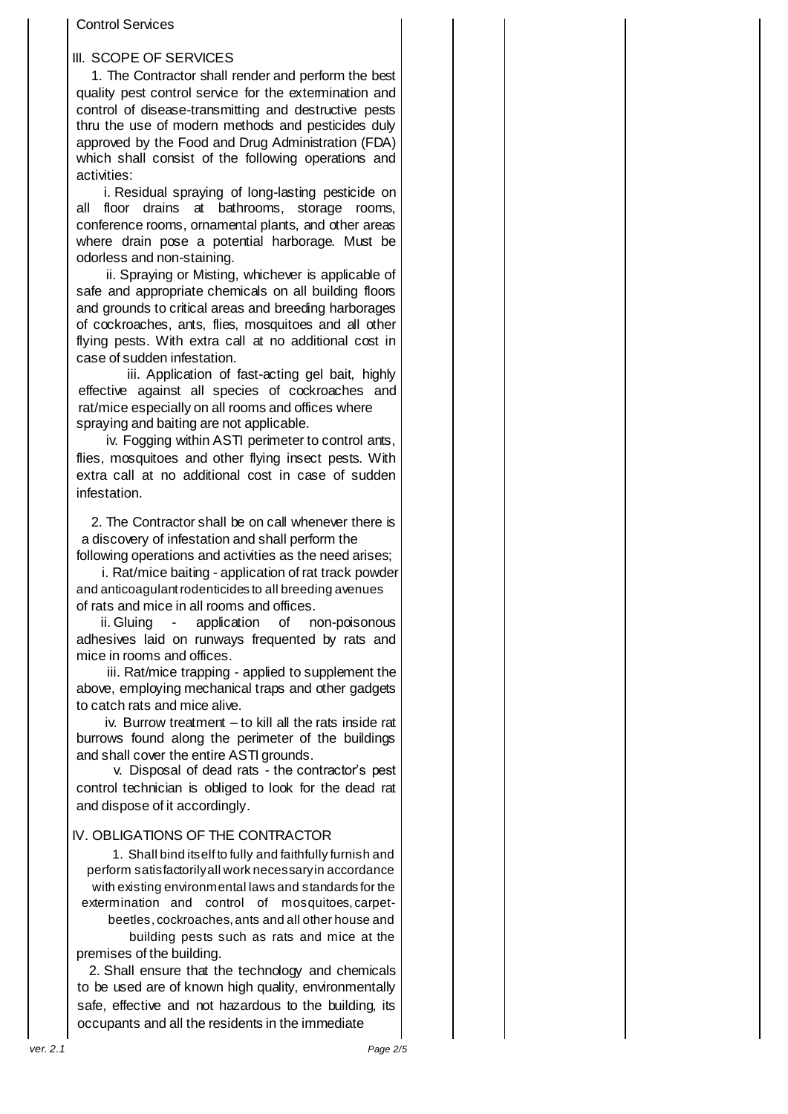#### Control Services

## III. SCOPE OF SERVICES

1. The Contractor shall render and perform the best quality pest control service for the extermination and control of disease-transmitting and destructive pests thru the use of modern methods and pesticides duly approved by the Food and Drug Administration (FDA) which shall consist of the following operations and activities:

i. Residual spraying of long-lasting pesticide on all floor drains at bathrooms, storage rooms, conference rooms, ornamental plants, and other areas where drain pose a potential harborage. Must be odorless and non-staining.

ii. Spraying or Misting, whichever is applicable of safe and appropriate chemicals on all building floors and grounds to critical areas and breeding harborages of cockroaches, ants, flies, mosquitoes and all other flying pests. With extra call at no additional cost in case of sudden infestation.

iii. Application of fast-acting gel bait, highly effective against all species of cockroaches and rat/mice especially on all rooms and offices where spraying and baiting are not applicable.

iv. Fogging within ASTI perimeter to control ants, flies, mosquitoes and other flying insect pests. With extra call at no additional cost in case of sudden infestation.

2. The Contractor shall be on call whenever there is a discovery of infestation and shall perform the following operations and activities as the need arises;

i. Rat/mice baiting - application of rat track powder and anticoagulant rodenticides to all breeding avenues of rats and mice in all rooms and offices.

ii. Gluing - application of non-poisonous adhesives laid on runways frequented by rats and mice in rooms and offices.

iii. Rat/mice trapping - applied to supplement the above, employing mechanical traps and other gadgets to catch rats and mice alive.

iv. Burrow treatment – to kill all the rats inside rat burrows found along the perimeter of the buildings and shall cover the entire ASTI grounds.

v. Disposal of dead rats - the contractor's pest control technician is obliged to look for the dead rat and dispose of it accordingly.

### IV. OBLIGATIONS OF THE CONTRACTOR

1. Shall bind itself to fully and faithfully furnish and perform satisfactorily all work necessary in accordance with existing environmental laws and standards for the extermination and control of mosquitoes, carpetbeetles, cockroaches, ants and all other house and building pests such as rats and mice at the premises of the building.

2. Shall ensure that the technology and chemicals to be used are of known high quality, environmentally safe, effective and not hazardous to the building, its occupants and all the residents in the immediate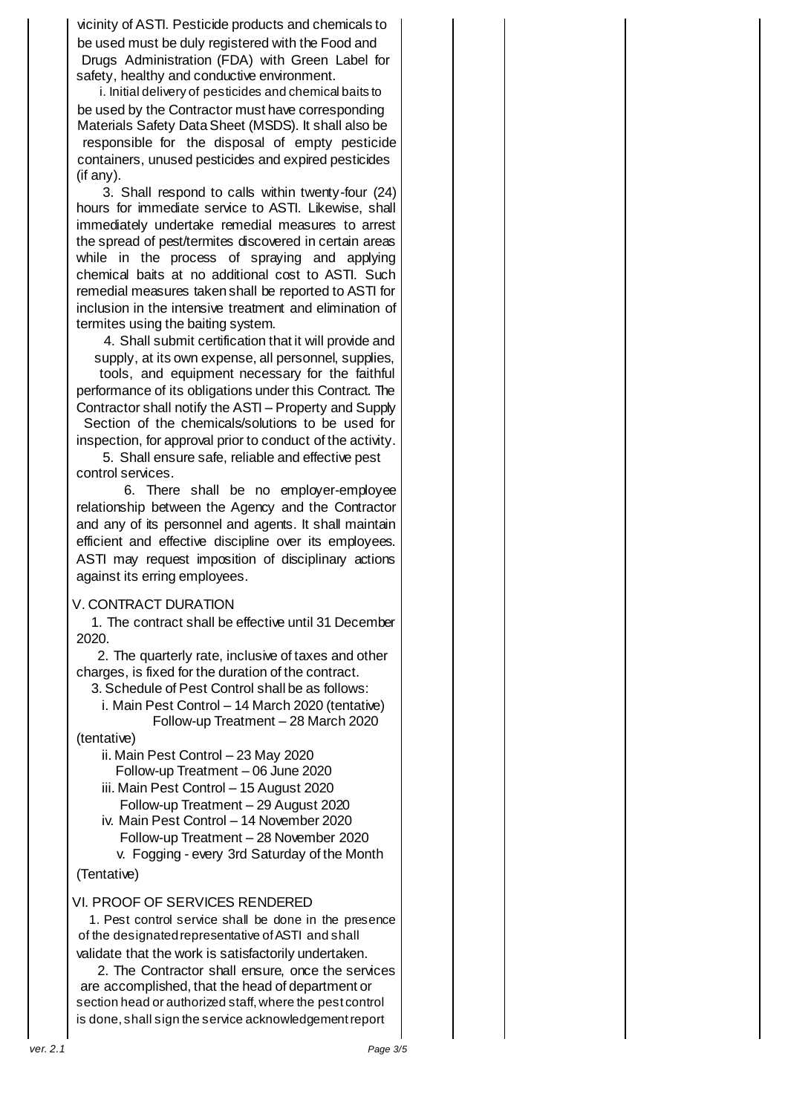vicinity of ASTI. Pesticide products and chemicals to be used must be duly registered with the Food and Drugs Administration (FDA) with Green Label for safety, healthy and conductive environment.

i. Initial delivery of pesticides and chemical baits to be used by the Contractor must have corresponding Materials Safety Data Sheet (MSDS). It shall also be responsible for the disposal of empty pesticide containers, unused pesticides and expired pesticides (if any).

3. Shall respond to calls within twenty-four (24) hours for immediate service to ASTI. Likewise, shall immediately undertake remedial measures to arrest the spread of pest/termites discovered in certain areas while in the process of spraying and applying chemical baits at no additional cost to ASTI. Such remedial measures taken shall be reported to ASTI for inclusion in the intensive treatment and elimination of termites using the baiting system.

4. Shall submit certification that it will provide and supply, at its own expense, all personnel, supplies,

tools, and equipment necessary for the faithful performance of its obligations under this Contract. The Contractor shall notify the ASTI – Property and Supply Section of the chemicals/solutions to be used for

inspection, for approval prior to conduct of the activity. 5. Shall ensure safe, reliable and effective pest

control services.

6. There shall be no employer-employee relationship between the Agency and the Contractor and any of its personnel and agents. It shall maintain efficient and effective discipline over its employees. ASTI may request imposition of disciplinary actions against its erring employees.

### V. CONTRACT DURATION

1. The contract shall be effective until 31 December 2020.

2. The quarterly rate, inclusive of taxes and other charges, is fixed for the duration of the contract.

3. Schedule of Pest Control shall be as follows:

i. Main Pest Control – 14 March 2020 (tentative) Follow-up Treatment – 28 March 2020

(tentative)

ii. Main Pest Control – 23 May 2020 Follow-up Treatment – 06 June 2020

iii. Main Pest Control – 15 August 2020 Follow-up Treatment – 29 August 2020

iv. Main Pest Control – 14 November 2020 Follow-up Treatment – 28 November 2020

v. Fogging - every 3rd Saturday of the Month (Tentative)

## VI. PROOF OF SERVICES RENDERED

1. Pest control service shall be done in the presence of the designated representative of ASTI and shall validate that the work is satisfactorily undertaken.

2. The Contractor shall ensure, once the services are accomplished, that the head of department or section head or authorized staff, where the pest control is done, shall sign the service acknowledgement report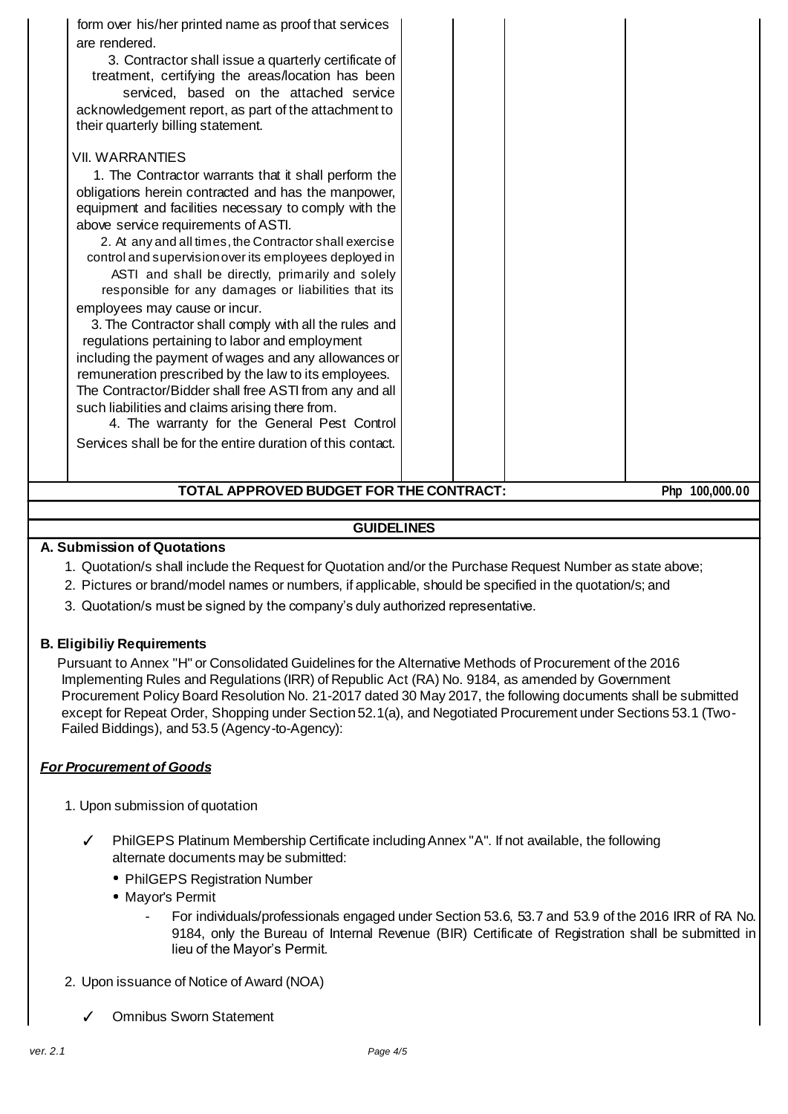| form over his/her printed name as proof that services<br>are rendered.<br>3. Contractor shall issue a quarterly certificate of<br>treatment, certifying the areas/location has been<br>serviced, based on the attached service<br>acknowledgement report, as part of the attachment to<br>their quarterly billing statement.<br><b>VII. WARRANTIES</b><br>1. The Contractor warrants that it shall perform the<br>obligations herein contracted and has the manpower,<br>equipment and facilities necessary to comply with the<br>above service requirements of ASTI.<br>2. At any and all times, the Contractor shall exercise<br>control and supervision over its employees deployed in<br>ASTI and shall be directly, primarily and solely<br>responsible for any damages or liabilities that its<br>employees may cause or incur.<br>3. The Contractor shall comply with all the rules and<br>regulations pertaining to labor and employment<br>including the payment of wages and any allowances or<br>remuneration prescribed by the law to its employees.<br>The Contractor/Bidder shall free ASTI from any and all<br>such liabilities and claims arising there from.<br>4. The warranty for the General Pest Control<br>Services shall be for the entire duration of this contact. |  |
|---------------------------------------------------------------------------------------------------------------------------------------------------------------------------------------------------------------------------------------------------------------------------------------------------------------------------------------------------------------------------------------------------------------------------------------------------------------------------------------------------------------------------------------------------------------------------------------------------------------------------------------------------------------------------------------------------------------------------------------------------------------------------------------------------------------------------------------------------------------------------------------------------------------------------------------------------------------------------------------------------------------------------------------------------------------------------------------------------------------------------------------------------------------------------------------------------------------------------------------------------------------------------------------------|--|
|---------------------------------------------------------------------------------------------------------------------------------------------------------------------------------------------------------------------------------------------------------------------------------------------------------------------------------------------------------------------------------------------------------------------------------------------------------------------------------------------------------------------------------------------------------------------------------------------------------------------------------------------------------------------------------------------------------------------------------------------------------------------------------------------------------------------------------------------------------------------------------------------------------------------------------------------------------------------------------------------------------------------------------------------------------------------------------------------------------------------------------------------------------------------------------------------------------------------------------------------------------------------------------------------|--|

# **TOTAL APPROVED BUDGET FOR THE CONTRACT: Php 100,000.00**

## **GUIDELINES**

## **A. Submission of Quotations**

- 1. Quotation/s shall include the Request for Quotation and/or the Purchase Request Number as state above;
- 2. Pictures or brand/model names or numbers, if applicable, should be specified in the quotation/s; and
- 3. Quotation/s must be signed by the company's duly authorized representative.

### **B. Eligibiliy Requirements**

Pursuant to Annex "H" or Consolidated Guidelines for the Alternative Methods of Procurement of the 2016 Implementing Rules and Regulations (IRR) of Republic Act (RA) No. 9184, as amended by Government Procurement Policy Board Resolution No. 21-2017 dated 30 May 2017, the following documents shall be submitted except for Repeat Order, Shopping under Section 52.1(a), and Negotiated Procurement under Sections 53.1 (Two-Failed Biddings), and 53.5 (Agency-to-Agency):

## *For Procurement of Goods*

- 1. Upon submission of quotation
	- ✓ PhilGEPS Platinum Membership Certificate including Annex "A". If not available, the following alternate documents may be submitted:
		- PhilGEPS Registration Number
		- Mayor's Permit
			- For individuals/professionals engaged under Section 53.6, 53.7 and 53.9 of the 2016 IRR of RA No. 9184, only the Bureau of Internal Revenue (BIR) Certificate of Registration shall be submitted in lieu of the Mayor's Permit.
- 2. Upon issuance of Notice of Award (NOA)
	- ✓ Omnibus Sworn Statement